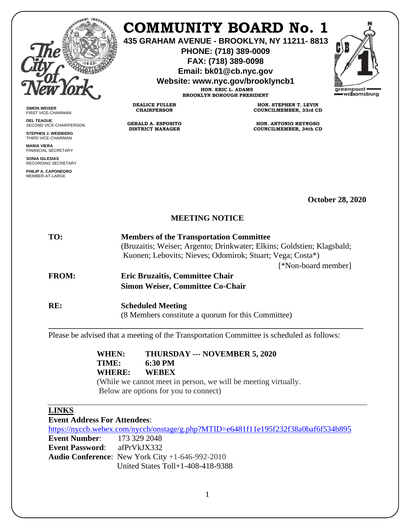

**SIMON WEISER** FIRST VICE-CHAIRMAN **DEL TEAGUE**

SECOND VICE-CHAIRPERSON **STEPHEN J. WEIDBERG** THIRD VICE-CHAIRMAN **MARIA VIERA** FINANCIAL SECRETARY **SONIA IGLESIAS** RECORDING SECRETARY **PHILIP A. CAPONEGRO** MEMBER-AT-LARGE

# **COMMUNITY BOARD No. 1**

**435 GRAHAM AVENUE - BROOKLYN, NY 11211- 8813**

**PHONE: (718) 389-0009 FAX: (718) 389-0098**

**Email: bk01@cb.nyc.gov**

**Website: www.nyc.gov/brooklyncb1**

**HON. ERIC L. ADAMS BROOKLYN BOROUGH PRESIDENT**

**DEALICE FULLER CHAIRPERSON**

**GERALD A. ESPOSITO DISTRICT MANAGER**

**HON. STEPHEN T. LEVIN COUNCILMEMBER, 33rd CD**

**HON. ANTONIO REYNOSO COUNCILMEMBER, 34th CD**

**October 28, 2020**

## **MEETING NOTICE**

| TO:          | <b>Members of the Transportation Committee</b>                         |
|--------------|------------------------------------------------------------------------|
|              | (Bruzaitis; Weiser; Argento; Drinkwater; Elkins; Goldstien; Klagsbald; |
|              | Kuonen; Lebovits; Nieves; Odomirok; Stuart; Vega; Costa*)              |
|              | [*Non-board member]                                                    |
| <b>FROM:</b> | <b>Eric Bruzaitis, Committee Chair</b>                                 |
|              | <b>Simon Weiser, Committee Co-Chair</b>                                |
|              |                                                                        |
|              |                                                                        |

**RE: Scheduled Meeting**

 (8 Members constitute a quorum for this Committee) **\_\_\_\_\_\_\_\_\_\_\_\_\_\_\_\_\_\_\_\_\_\_\_\_\_\_\_\_\_\_\_\_\_\_\_\_\_\_\_\_\_\_\_\_\_\_\_\_\_\_\_\_\_\_\_\_\_\_\_\_\_\_\_\_\_\_\_\_\_\_\_\_\_\_\_\_\_\_**

Please be advised that a meeting of the Transportation Committee is scheduled as follows:

**WHEN: THURSDAY --- NOVEMBER 5, 2020 TIME: 6:30 PM WHERE: WEBEX**

(While we cannot meet in person, we will be meeting virtually. Below are options for you to connect)

# **LINKS**

**Event Address For Attendees**:

<https://nyccb.webex.com/nyccb/onstage/g.php?MTID=e6481f11e195f232f38a0baf6f534b895> **Event Number**: 173 329 2048 **Event Password**: afPrVkJX332 **Audio Conference**: New York City +1-646-992-2010 United States Toll+1-408-418-9388